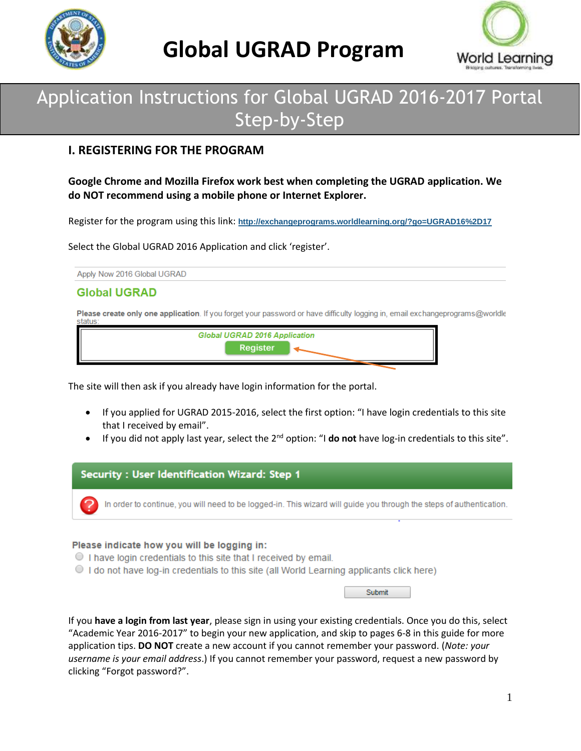



## Application Instructions for Global UGRAD 2016-2017 Portal Step-by-Step

### **I. REGISTERING FOR THE PROGRAM**

**Google Chrome and Mozilla Firefox work best when completing the UGRAD application. We do NOT recommend using a mobile phone or Internet Explorer.**

Register for the program using this link: **<http://exchangeprograms.worldlearning.org/?go=UGRAD16%2D17>**

Select the Global UGRAD 2016 Application and click 'register'.

Apply Now 2016 Global UGRAD

#### **Global UGRAD**

Please create only one application. If you forget your password or have difficulty logging in, email exchangeprograms@worldle status:

| <b>Global UGRAD 2016 Application</b> |  |
|--------------------------------------|--|
| Register                             |  |
|                                      |  |

The site will then ask if you already have login information for the portal.

- If you applied for UGRAD 2015-2016, select the first option: "I have login credentials to this site that I received by email".
- If you did not apply last year, select the 2nd option: "I **do not** have log-in credentials to this site".



#### Please indicate how you will be logging in:

- $\circ$  I have login credentials to this site that I received by email.
- If the not have log-in credentials to this site (all World Learning applicants click here)

If you **have a login from last year**, please sign in using your existing credentials. Once you do this, select "Academic Year 2016-2017" to begin your new application, and skip to pages 6-8 in this guide for more application tips. **DO NOT** create a new account if you cannot remember your password. (*Note: your username is your email address*.) If you cannot remember your password, request a new password by clicking "Forgot password?".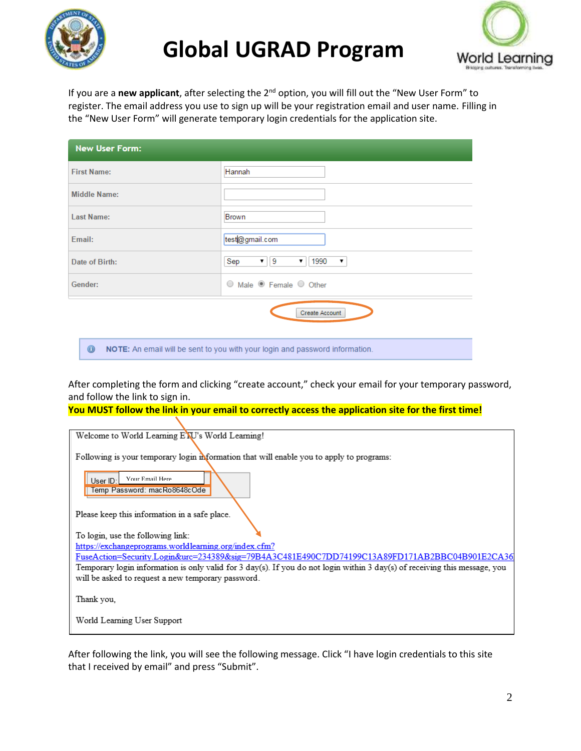



If you are a **new applicant**, after selecting the 2nd option, you will fill out the "New User Form" to register. The email address you use to sign up will be your registration email and user name. Filling in the "New User Form" will generate temporary login credentials for the application site.

| <b>New User Form:</b>                                                                     |                                                                   |  |  |
|-------------------------------------------------------------------------------------------|-------------------------------------------------------------------|--|--|
| <b>First Name:</b>                                                                        | Hannah                                                            |  |  |
| Middle Name:                                                                              |                                                                   |  |  |
| <b>Last Name:</b>                                                                         | Brown                                                             |  |  |
| Email:                                                                                    | test@gmail.com                                                    |  |  |
| Date of Birth:                                                                            | ▼    9<br>1990<br>Sep<br>$\pmb{\mathrm{v}}$<br>$\pmb{\mathrm{v}}$ |  |  |
| Gender:                                                                                   | ○ Male ● Female ○ Other                                           |  |  |
| Create Account                                                                            |                                                                   |  |  |
| $\bullet$<br>NOTE: An email will be sent to you with your login and password information. |                                                                   |  |  |

After completing the form and clicking "create account," check your email for your temporary password, and follow the link to sign in.

**You MUST follow the link in your email to correctly access the application site for the first time!**

After following the link, you will see the following message. Click "I have login credentials to this site that I received by email" and press "Submit".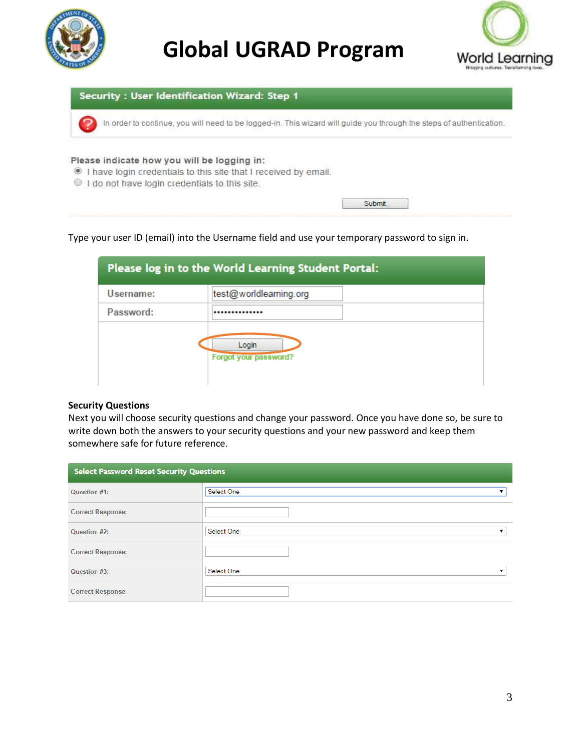





#### Type your user ID (email) into the Username field and use your temporary password to sign in.

|           | Please log in to the World Learning Student Portal: |
|-----------|-----------------------------------------------------|
| Username: | test@worldlearning.org                              |
| Password: |                                                     |
|           | Login<br>Forgot your password?                      |

#### **Security Questions**

Next you will choose security questions and change your password. Once you have done so, be sure to write down both the answers to your security questions and your new password and keep them somewhere safe for future reference.

| <b>Select Password Reset Security Questions</b> |                  |  |
|-------------------------------------------------|------------------|--|
| Question #1:                                    | Select One:      |  |
| <b>Correct Response:</b>                        |                  |  |
| Question #2:                                    | Select One:<br>▼ |  |
| <b>Correct Response:</b>                        |                  |  |
| Question #3:                                    | Select One:      |  |
| <b>Correct Response:</b>                        |                  |  |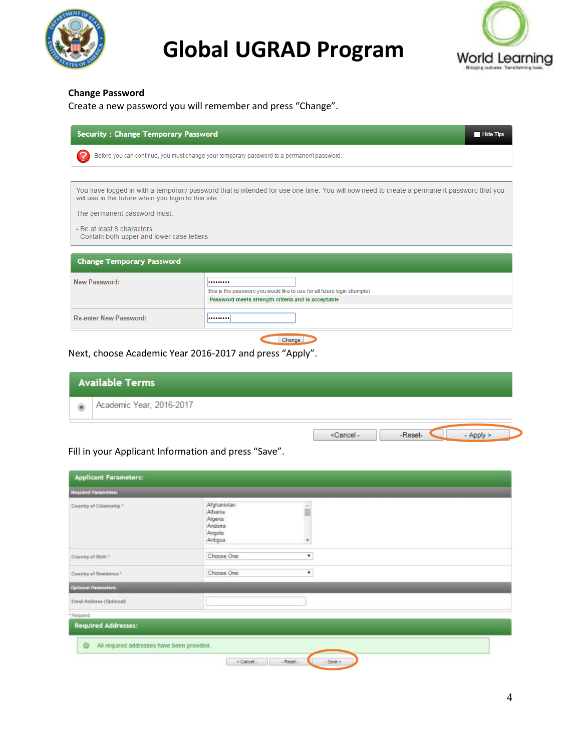



#### **Change Password**

| Create a new password you will remember and press "Change". |
|-------------------------------------------------------------|
|-------------------------------------------------------------|

| <b>Security: Change Temporary Password</b><br><b>Hide Tips</b>                                                                                                                                   |                                                                                                                                      |  |  |
|--------------------------------------------------------------------------------------------------------------------------------------------------------------------------------------------------|--------------------------------------------------------------------------------------------------------------------------------------|--|--|
| Before you can continue, you must change your temporary password to a permanent password.                                                                                                        |                                                                                                                                      |  |  |
|                                                                                                                                                                                                  |                                                                                                                                      |  |  |
| You have logged in with a temporary password that is intended for use one time. You will now need to create a permanent password that you<br>will use in the future when you login to this site. |                                                                                                                                      |  |  |
| The permanent password must:                                                                                                                                                                     |                                                                                                                                      |  |  |
| - Be at least 8 characters<br>- Contain both upper and lower case letters                                                                                                                        |                                                                                                                                      |  |  |
| <b>Change Temporary Password</b>                                                                                                                                                                 |                                                                                                                                      |  |  |
| New Password:                                                                                                                                                                                    | <br>(this is the password you would like to use for all future login attempts)<br>Password meets strength criteria and is acceptable |  |  |
| <b>Re-enter New Password:</b>                                                                                                                                                                    |                                                                                                                                      |  |  |
| Change                                                                                                                                                                                           |                                                                                                                                      |  |  |

Next, choose Academic Year 2016-2017 and press "Apply".

|            | <b>Available Terms</b>   |                    |
|------------|--------------------------|--------------------|
| $^{\circ}$ | Academic Year, 2016-2017 |                    |
|            |                          | cCanceL.<br>Reset. |

### Fill in your Applicant Information and press "Save".

| <b>Required Parameters:</b> |                                                                  |                          |  |
|-----------------------------|------------------------------------------------------------------|--------------------------|--|
| Country of Citizenship *    | Afghanistan<br>Albaria<br>Algeria<br>Andoma<br>Angola<br>Antigua | $\overline{\phantom{a}}$ |  |
| Country of Birth "          | Choose One:                                                      | ۰                        |  |
| Country of Residence."      | Choose One:                                                      | ٠                        |  |
| <b>Outlemal Parameters:</b> |                                                                  |                          |  |
| Email Address (Optional)    |                                                                  |                          |  |
| * Regulaed.                 |                                                                  |                          |  |
| <b>Required Addresses:</b>  |                                                                  |                          |  |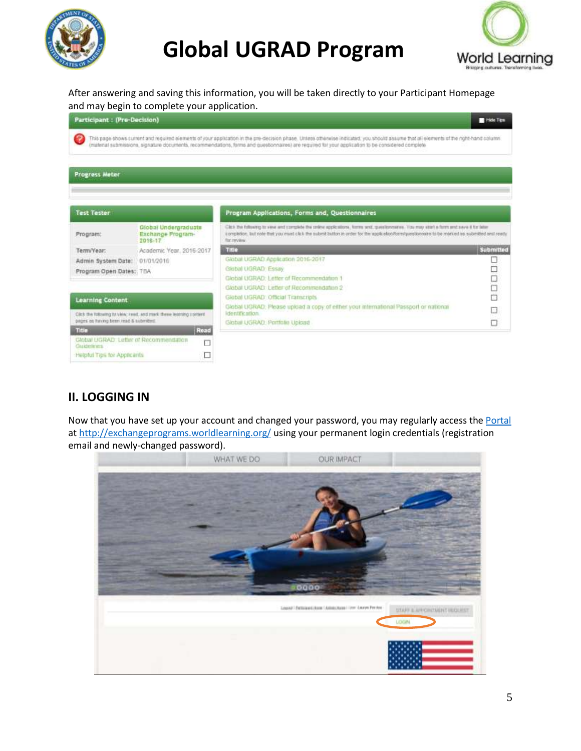



After answering and saving this information, you will be taken directly to your Participant Homepage and may begin to complete your application.

| <b>Participant: (Pre-Decision)</b>                  |                                                                    |                                                                                                                                                                                                                                                                                                                                               | <b>E</b> Hide Time |
|-----------------------------------------------------|--------------------------------------------------------------------|-----------------------------------------------------------------------------------------------------------------------------------------------------------------------------------------------------------------------------------------------------------------------------------------------------------------------------------------------|--------------------|
| 9                                                   |                                                                    | This page shows current and required elements of your application in the pre-decision phase. Unless otherwise indicated, you should assume that all elements of the right-hand column.<br>imaterial submissions, signature documents, recommendations, forms and questionnaires) are required for your application to be considered complete. |                    |
| <b>Progress Meter</b>                               |                                                                    |                                                                                                                                                                                                                                                                                                                                               |                    |
| <b>Test Tester</b>                                  |                                                                    | Program Applications, Forms and, Questionnaires                                                                                                                                                                                                                                                                                               |                    |
| Program:                                            | Global Undergraduate<br>Exchange Program-<br>2018-17               | Click the following to very and complete the order applications, forms and, questionnaires. You may start a form and save if for later<br>completion. But note that you must click the submit button in order for the application/term/questionnaire to be marked as submitted and ready.<br>Tor review                                       |                    |
| Term/Year:                                          | Academic Year, 2016-2017                                           | TRIO                                                                                                                                                                                                                                                                                                                                          | Submitted          |
| Admin System Date:                                  | 01/01/2016                                                         | Global UGRAD Application 2016-2017                                                                                                                                                                                                                                                                                                            | u                  |
| Program Open Dates: TBA                             |                                                                    | Global UGRAD Essay                                                                                                                                                                                                                                                                                                                            | 1000               |
|                                                     |                                                                    | Global UGRAD: Letter of Recommendation 1                                                                                                                                                                                                                                                                                                      |                    |
|                                                     |                                                                    | Global UGRAD: Letter of Recommendation 2                                                                                                                                                                                                                                                                                                      |                    |
| <b>Learning Content</b>                             |                                                                    | Global UGRAD: Official Transcripts                                                                                                                                                                                                                                                                                                            |                    |
|                                                     | Click the following to view, read, and mark there learning content | Global UGRAD: Please upload a copy of either your international Passport or national<br>identification.                                                                                                                                                                                                                                       |                    |
| pages on having been read & submitted.              |                                                                    | Global UGRAD Portfolio Upicad                                                                                                                                                                                                                                                                                                                 |                    |
| THE                                                 | Read                                                               |                                                                                                                                                                                                                                                                                                                                               |                    |
| Global UGRAD Letter of Recommendation<br>Guidelines | Π                                                                  |                                                                                                                                                                                                                                                                                                                                               |                    |
| Heipful Tips for Applicants                         | n                                                                  |                                                                                                                                                                                                                                                                                                                                               |                    |

### **II. LOGGING IN**

Now that you have set up your account and changed your password, you may regularly access the [Portal](http://exchangeprograms.worldlearning.org/) a[t http://exchangeprograms.worldlearning.org/](http://exchangeprograms.worldlearning.org/) using your permanent login credentials (registration email and newly-changed password).

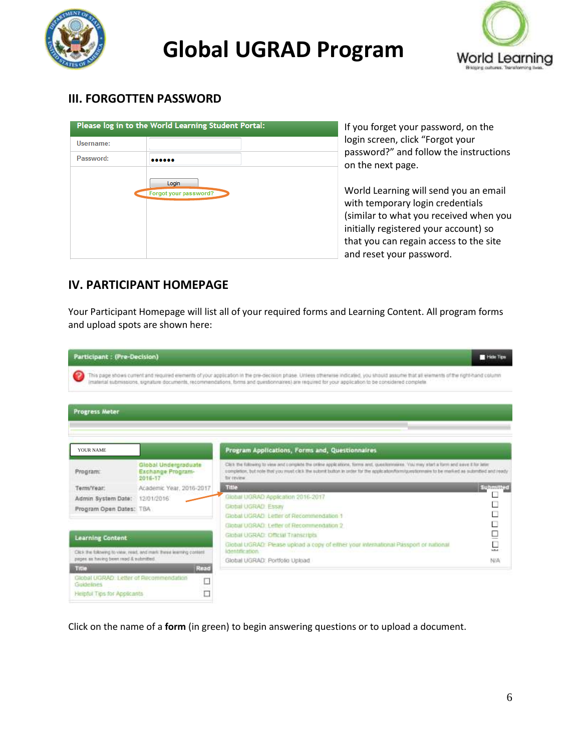



### **III. FORGOTTEN PASSWORD**

|           | Please log in to the World Learning Student Portal: |  |
|-----------|-----------------------------------------------------|--|
| Username: |                                                     |  |
| Password: |                                                     |  |
|           | Login<br>Forgot your password?                      |  |

If you forget your password, on the login screen, click "Forgot your password?" and follow the instructions on the next page.

World Learning will send you an email with temporary login credentials (similar to what you received when you initially registered your account) so that you can regain access to the site and reset your password.

### **IV. PARTICIPANT HOMEPAGE**

Your Participant Homepage will list all of your required forms and Learning Content. All program forms and upload spots are shown here:

| <b>Participant: (Pre-Decision)</b>                                   |                                                      |                                                                                                                                                                                                                                                                                                                                              | Hele Tips     |
|----------------------------------------------------------------------|------------------------------------------------------|----------------------------------------------------------------------------------------------------------------------------------------------------------------------------------------------------------------------------------------------------------------------------------------------------------------------------------------------|---------------|
|                                                                      |                                                      | This page shows current and required elements of your application in the pre-decision phase. Unless otherwise indicated, you should assume that all elements of the right-hand column<br>imaterial submissions, signature documents, recommendations, forms and questionnaires) are required for your application to be considered complete. |               |
| <b>Progress Meter</b>                                                |                                                      |                                                                                                                                                                                                                                                                                                                                              |               |
|                                                                      |                                                      |                                                                                                                                                                                                                                                                                                                                              |               |
| YOUR NAME                                                            |                                                      | Program Applications, Forms and, Questionnaires                                                                                                                                                                                                                                                                                              |               |
| Program:                                                             | Global Undergraduate<br>Exchange Program-<br>2016-17 | Click the following to view and complete the online applications, forms and, questionnaires. You may start a form and asset if he later.<br>completion, but note that you must click the submit button in order for the application/form/posstormaire to be marked as submitted and ready<br>for review.                                     |               |
| Term/Year:                                                           | Academic Year, 2016-2017                             | Title                                                                                                                                                                                                                                                                                                                                        | Submitted     |
| Admin System Date:                                                   | 12/01/2016                                           | Global UGRAD Application 2016-2017                                                                                                                                                                                                                                                                                                           |               |
| Program Open Dates: TBA                                              |                                                      | Global UGRAD Essay                                                                                                                                                                                                                                                                                                                           |               |
|                                                                      |                                                      | Global UGRAD Letter of Recommendation 1                                                                                                                                                                                                                                                                                                      | □             |
|                                                                      |                                                      | Global UGRAD: Letter of Recommendation 2                                                                                                                                                                                                                                                                                                     | u<br>Do<br>Do |
| <b>Learning Content</b>                                              |                                                      | Global UGRAD, Official Transcripts                                                                                                                                                                                                                                                                                                           |               |
| Click the following to vanar, read, and mark these learning content. |                                                      | Giobal UGRAD: Please upload a copy of either your international Passport or national<br>identification.                                                                                                                                                                                                                                      |               |
| pages as having been read & submitted.                               |                                                      | Global UGRAD: Portfolio Upload                                                                                                                                                                                                                                                                                                               | NIA           |
| Title                                                                | Read                                                 |                                                                                                                                                                                                                                                                                                                                              |               |
| Global UGRAD: Letter of Recommendation<br>Guidelines                 | D                                                    |                                                                                                                                                                                                                                                                                                                                              |               |
| □<br>Helpful Tips for Applicants                                     |                                                      |                                                                                                                                                                                                                                                                                                                                              |               |

Click on the name of a **form** (in green) to begin answering questions or to upload a document.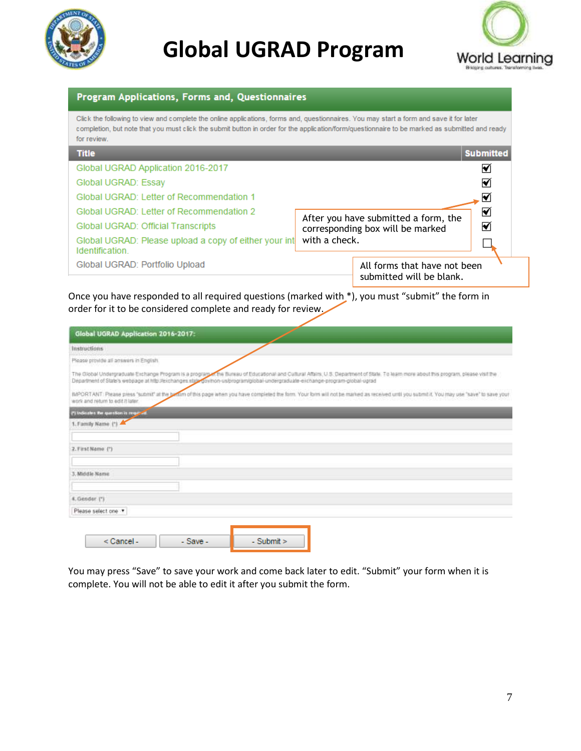



| Program Applications, Forms and, Questionnaires                                                                                                                                                                                                                                                          |                                                          |  |  |  |  |  |
|----------------------------------------------------------------------------------------------------------------------------------------------------------------------------------------------------------------------------------------------------------------------------------------------------------|----------------------------------------------------------|--|--|--|--|--|
| Click the following to view and complete the online applications, forms and, questionnaires. You may start a form and save it for later<br>completion, but note that you must click the submit button in order for the application/form/questionnaire to be marked as submitted and ready<br>for review. |                                                          |  |  |  |  |  |
| <b>Title</b>                                                                                                                                                                                                                                                                                             | <b>Submitted</b>                                         |  |  |  |  |  |
| Global UGRAD Application 2016-2017                                                                                                                                                                                                                                                                       | 罓                                                        |  |  |  |  |  |
| Global UGRAD: Essay                                                                                                                                                                                                                                                                                      | 丙                                                        |  |  |  |  |  |
| Global UGRAD: Letter of Recommendation 1                                                                                                                                                                                                                                                                 | ∇                                                        |  |  |  |  |  |
| Global UGRAD: Letter of Recommendation 2                                                                                                                                                                                                                                                                 | 罓<br>After you have submitted a form, the                |  |  |  |  |  |
| Global UGRAD: Official Transcripts                                                                                                                                                                                                                                                                       | M<br>corresponding box will be marked                    |  |  |  |  |  |
| Global UGRAD: Please upload a copy of either your int<br>Identification.                                                                                                                                                                                                                                 | with a check.                                            |  |  |  |  |  |
| Global UGRAD: Portfolio Upload                                                                                                                                                                                                                                                                           | All forms that have not been<br>submitted will be blank. |  |  |  |  |  |
| Once you have responded to all required questions (marked with *), you must "submit" the form in<br>order for it to be considered complete and ready for review.                                                                                                                                         |                                                          |  |  |  |  |  |

| Global UGRAD Application 2016-2017:    |                                                                                                                                                                                                                                                                                                                    |
|----------------------------------------|--------------------------------------------------------------------------------------------------------------------------------------------------------------------------------------------------------------------------------------------------------------------------------------------------------------------|
| Instructions                           |                                                                                                                                                                                                                                                                                                                    |
| Please provide all answers in English. |                                                                                                                                                                                                                                                                                                                    |
|                                        | The Global Undergraduate Exchange Program is a program of Bureau of Educational and Cultural Affairs, U.S. Department of State. To learn more about this program, please visit the<br>Department of State's webpage at http://exchanges.stgl gov/non-us/program/global-undergraduate-exchange-program-global-ugrad |
| work and return to edit it later.      | MPORTANT. Please press "submit" at the pottern of this page when you have completed the form. Your form will not be marked as received until you submit it. You may use "save" to save your                                                                                                                        |
| (*) Indicates the question is required |                                                                                                                                                                                                                                                                                                                    |
| 1. Family Name (*)                     |                                                                                                                                                                                                                                                                                                                    |
|                                        |                                                                                                                                                                                                                                                                                                                    |
| 2. First Name (?)                      |                                                                                                                                                                                                                                                                                                                    |
|                                        |                                                                                                                                                                                                                                                                                                                    |
| 3. Middle Name                         |                                                                                                                                                                                                                                                                                                                    |
|                                        |                                                                                                                                                                                                                                                                                                                    |
| 4. Gender (*)                          |                                                                                                                                                                                                                                                                                                                    |
| Please select one                      |                                                                                                                                                                                                                                                                                                                    |

You may press "Save" to save your work and come back later to edit. "Submit" your form when it is complete. You will not be able to edit it after you submit the form.